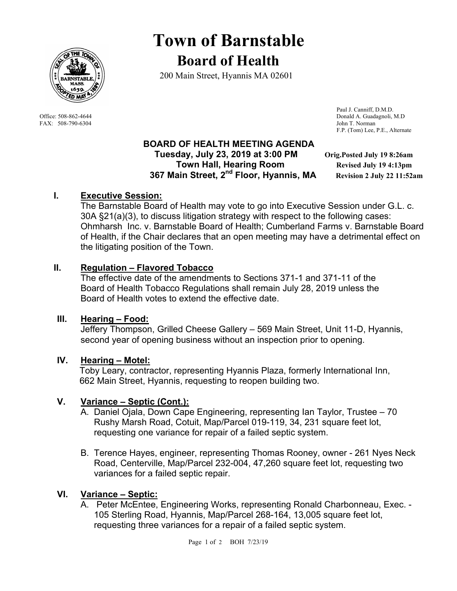

FAX: 508-790-6304 John T. Norman

# **Town of Barnstable Board of Health**

200 Main Street, Hyannis MA 02601

 Paul J. Canniff, D.M.D. Office: 508-862-4644 Donald A. Guadagnoli, M.D F.P. (Tom) Lee, P.E., Alternate

## **BOARD OF HEALTH MEETING AGENDA Tuesday, July 23, 2019 at 3:00 PM Orig.Posted July 19 8:26am Town Hall, Hearing Room** *Revised July 19 4:13pm*  **367 Main Street, 2nd Floor, Hyannis, MA Revision 2 July 22 11:52am**

# **I. Executive Session:**

The Barnstable Board of Health may vote to go into Executive Session under G.L. c. 30A §21(a)(3), to discuss litigation strategy with respect to the following cases: Ohmharsh Inc. v. Barnstable Board of Health; Cumberland Farms v. Barnstable Board of Health, if the Chair declares that an open meeting may have a detrimental effect on the litigating position of the Town.

# **II. Regulation – Flavored Tobacco**

The effective date of the amendments to Sections 371-1 and 371-11 of the Board of Health Tobacco Regulations shall remain July 28, 2019 unless the Board of Health votes to extend the effective date.

# **III. Hearing – Food:**

Jeffery Thompson, Grilled Cheese Gallery – 569 Main Street, Unit 11-D, Hyannis, second year of opening business without an inspection prior to opening.

## **IV. Hearing – Motel:**

Toby Leary, contractor, representing Hyannis Plaza, formerly International Inn, 662 Main Street, Hyannis, requesting to reopen building two.

# **V. Variance – Septic (Cont.):**

- A. Daniel Ojala, Down Cape Engineering, representing Ian Taylor, Trustee 70 Rushy Marsh Road, Cotuit, Map/Parcel 019-119, 34, 231 square feet lot, requesting one variance for repair of a failed septic system.
- B. Terence Hayes, engineer, representing Thomas Rooney, owner 261 Nyes Neck Road, Centerville, Map/Parcel 232-004, 47,260 square feet lot, requesting two variances for a failed septic repair.

# **VI. Variance – Septic:**

A. Peter McEntee, Engineering Works, representing Ronald Charbonneau, Exec. - 105 Sterling Road, Hyannis, Map/Parcel 268-164, 13,005 square feet lot, requesting three variances for a repair of a failed septic system.